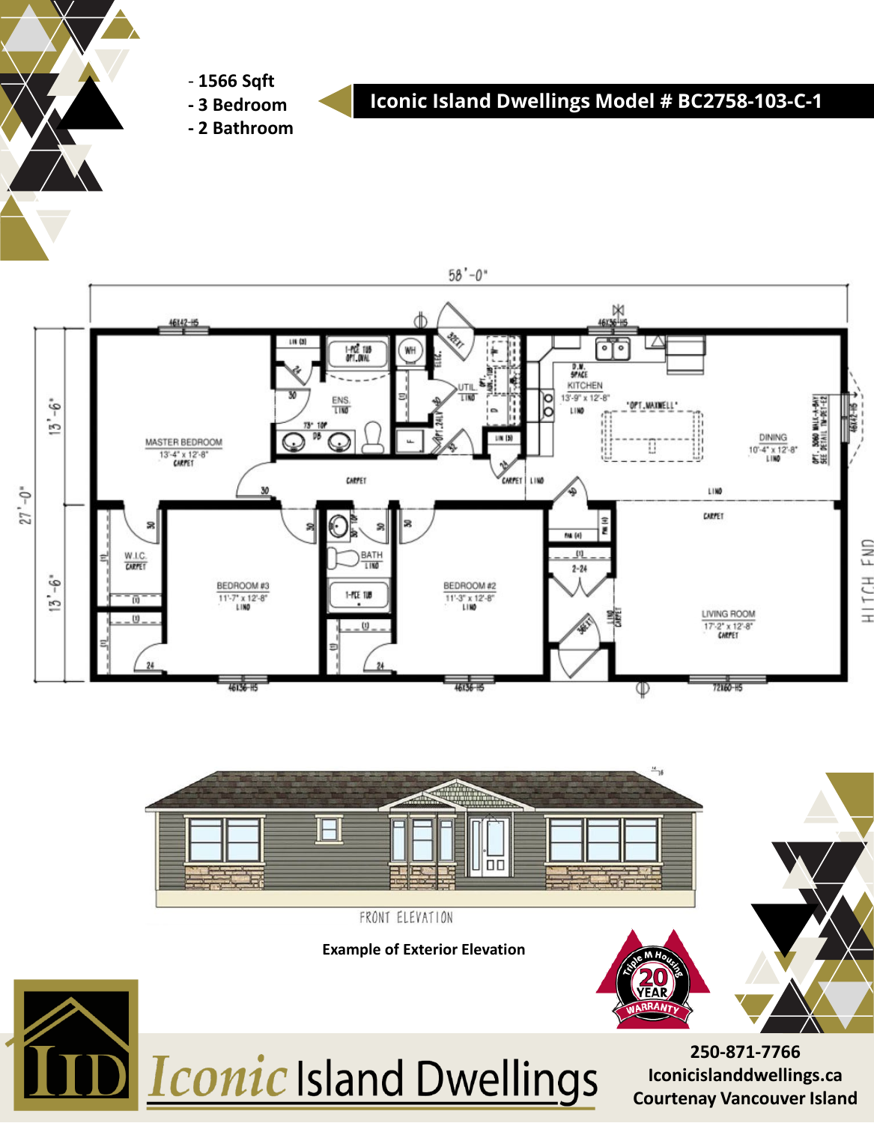

- **1566 Sqft - 3 Bedroom**

**Iconic Island Dwellings Model # BC2758-103-C-1**

**- 2 Bathroom**





Iconic Island Dwellings

**250-871-7766 Iconicislanddwellings.ca Courtenay Vancouver Island**